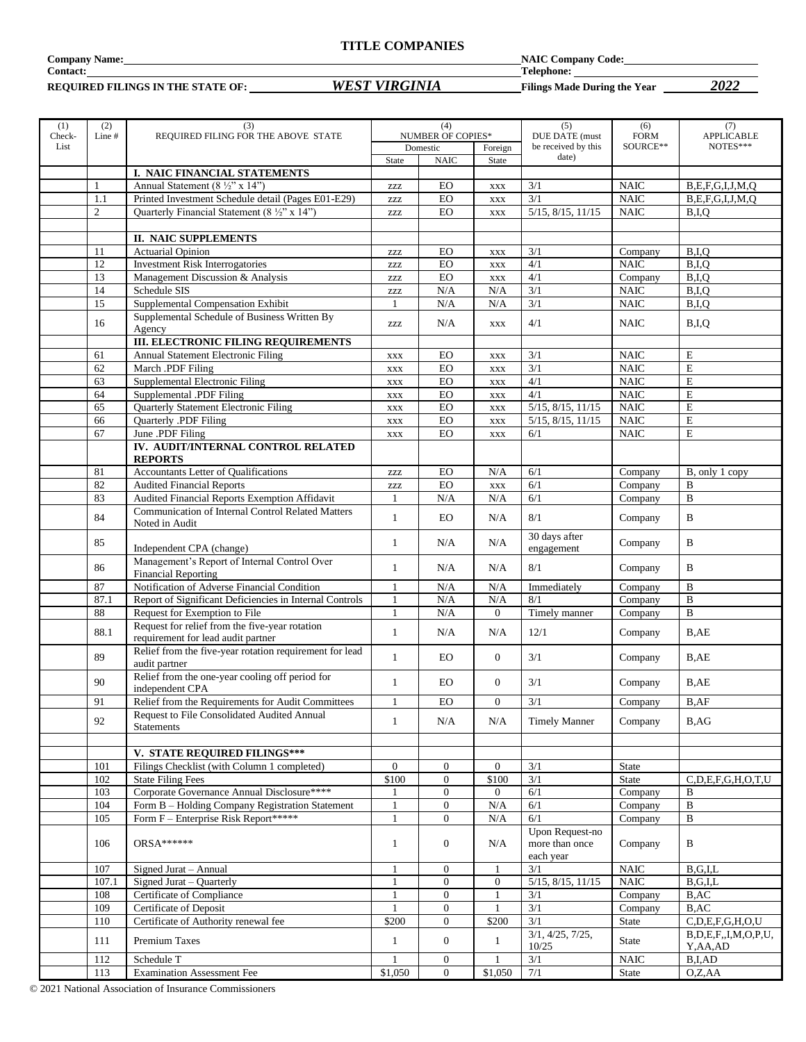#### **TITLE COMPANIES**

**Company Name: NAIC Company Code:**

**REQUIRED FILINGS IN THE STATE OF:** *WEST VIRGINIA* **Filings Made During the Year** *2022*

**Contact: Telephone:** 

| (1)            | (2)            | (3)                                                              |                           | (4)                                  |                  | (5)                                                  | (6)                     | (7)                           |
|----------------|----------------|------------------------------------------------------------------|---------------------------|--------------------------------------|------------------|------------------------------------------------------|-------------------------|-------------------------------|
| Check-<br>List | Line #         | REQUIRED FILING FOR THE ABOVE STATE                              |                           | <b>NUMBER OF COPIES*</b><br>Domestic | Foreign          | <b>DUE DATE</b> (must<br>be received by this         | <b>FORM</b><br>SOURCE** | <b>APPLICABLE</b><br>NOTES*** |
|                |                |                                                                  | <b>State</b>              | <b>NAIC</b>                          | <b>State</b>     | date)                                                |                         |                               |
|                |                | I. NAIC FINANCIAL STATEMENTS                                     |                           |                                      |                  |                                                      |                         |                               |
|                | 1              | Annual Statement (8 ½" x 14")                                    | <b>ZZZ</b>                | EO                                   | <b>XXX</b>       | 3/1                                                  | <b>NAIC</b>             | B, E, F, G, I, J, M, Q        |
|                | 1.1            | Printed Investment Schedule detail (Pages E01-E29)               | $\ensuremath{\text{ZZZ}}$ | ${\rm EO}$                           | <b>XXX</b>       | 3/1                                                  | <b>NAIC</b>             | B, E, F, G, I, J, M, Q        |
|                | $\mathfrak{2}$ | Quarterly Financial Statement (8 1/2" x 14")                     | ZZZ                       | EO                                   | <b>XXX</b>       | 5/15, 8/15, 11/15                                    | <b>NAIC</b>             | B,I,Q                         |
|                |                |                                                                  |                           |                                      |                  |                                                      |                         |                               |
|                |                | <b>II. NAIC SUPPLEMENTS</b>                                      |                           |                                      |                  |                                                      |                         |                               |
|                | 11             | <b>Actuarial Opinion</b>                                         | ZZZ                       | EO                                   | <b>XXX</b>       | 3/1                                                  | Company                 | B.I.Q                         |
|                | 12             | <b>Investment Risk Interrogatories</b>                           | $\ensuremath{\text{ZZZ}}$ | EO                                   | XXX              | 4/1                                                  | <b>NAIC</b>             | B,I,Q                         |
|                | 13             | Management Discussion & Analysis                                 | ZZZ                       | ${\rm EO}$                           | <b>XXX</b>       | 4/1                                                  | Company                 | B,I,Q                         |
|                | 14             | Schedule SIS                                                     | $\ensuremath{\text{ZZZ}}$ | N/A                                  | N/A              | 3/1                                                  | <b>NAIC</b>             | B,I,Q                         |
|                | 15             | Supplemental Compensation Exhibit                                | $\mathbf{1}$              | N/A                                  | N/A              | 3/1                                                  | <b>NAIC</b>             | B,I,Q                         |
|                |                | Supplemental Schedule of Business Written By                     |                           |                                      |                  |                                                      |                         |                               |
|                | 16             | Agency                                                           | ZZZ                       | N/A                                  | <b>XXX</b>       | 4/1                                                  | <b>NAIC</b>             | B,I,Q                         |
|                |                | <b>III. ELECTRONIC FILING REQUIREMENTS</b>                       |                           |                                      |                  |                                                      |                         |                               |
|                | 61             | Annual Statement Electronic Filing                               | $\mathbf{XXX}$            | EO                                   | <b>XXX</b>       | 3/1                                                  | <b>NAIC</b>             | E                             |
|                | 62             | March .PDF Filing                                                | $\mathbf{XXX}$            | EO                                   | <b>XXX</b>       | 3/1                                                  | <b>NAIC</b>             | E                             |
|                | 63             | Supplemental Electronic Filing                                   | $\mathbf{XXX}$            | EO                                   | <b>XXX</b>       | 4/1                                                  | <b>NAIC</b>             | E                             |
|                | 64             | Supplemental .PDF Filing                                         | $\mathbf{XXX}$            | EO                                   | XXX              | 4/1                                                  | <b>NAIC</b>             | E                             |
|                | 65             | Quarterly Statement Electronic Filing                            | <b>XXX</b>                | EO                                   | <b>XXX</b>       | 5/15, 8/15, 11/15                                    | <b>NAIC</b>             | E                             |
|                | 66             | Quarterly .PDF Filing                                            | $\mathbf{XXX}$            | EO                                   | <b>XXX</b>       | $\overline{5/15}, \overline{8/15}, \overline{11/15}$ | <b>NAIC</b>             | E                             |
|                | 67             | June .PDF Filing                                                 | <b>XXX</b>                | ${\rm EO}$                           | $\mathbf{XXX}$   | 6/1                                                  | <b>NAIC</b>             | ${\bf E}$                     |
|                |                | IV. AUDIT/INTERNAL CONTROL RELATED                               |                           |                                      |                  |                                                      |                         |                               |
|                |                | <b>REPORTS</b>                                                   |                           |                                      |                  |                                                      |                         |                               |
|                | 81             | Accountants Letter of Qualifications                             | $\ensuremath{\text{ZZZ}}$ | EO                                   | N/A              | 6/1                                                  | Company                 | B, only 1 copy                |
|                | 82             | <b>Audited Financial Reports</b>                                 | $\ensuremath{\text{ZZZ}}$ | ${\rm EO}$                           | <b>XXX</b>       | 6/1                                                  | Company                 | B                             |
|                | 83             | Audited Financial Reports Exemption Affidavit                    | $\mathbf{1}$              | $\rm N/A$                            | N/A              | 6/1                                                  | Company                 | B                             |
|                | 84             | <b>Communication of Internal Control Related Matters</b>         |                           |                                      |                  | 8/1                                                  |                         |                               |
|                |                | Noted in Audit                                                   | $\mathbf{1}$              | EO                                   | N/A              |                                                      | Company                 | $\, {\bf B}$                  |
|                | 85             |                                                                  | 1                         | N/A                                  | N/A              | 30 days after                                        | Company                 | $\, {\bf B}$                  |
|                |                | Independent CPA (change)                                         |                           |                                      |                  | engagement                                           |                         |                               |
|                | 86             | Management's Report of Internal Control Over                     | $\mathbf{1}$              | N/A                                  | N/A              | 8/1                                                  | Company                 | B                             |
|                |                | <b>Financial Reporting</b>                                       |                           |                                      |                  |                                                      |                         |                               |
|                | 87             | Notification of Adverse Financial Condition                      |                           | N/A                                  | N/A              | Immediately                                          | Company                 | B                             |
|                | 87.1           | Report of Significant Deficiencies in Internal Controls          | $\mathbf{1}$              | $\rm N/A$                            | N/A              | 8/1                                                  | Company                 | $\bf{B}$                      |
|                | 88             | Request for Exemption to File                                    | $\mathbf{1}$              | N/A                                  | $\theta$         | Timely manner                                        | Company                 | $\bf{B}$                      |
|                | 88.1           | Request for relief from the five-year rotation                   | $\mathbf{1}$              | N/A                                  | N/A              | 12/1                                                 | Company                 | B,AE                          |
|                |                | requirement for lead audit partner                               |                           |                                      |                  |                                                      |                         |                               |
|                | 89             | Relief from the five-year rotation requirement for lead          | $\mathbf{1}$              | EO                                   | $\overline{0}$   | 3/1                                                  | Company                 | B,AE                          |
|                |                | audit partner                                                    |                           |                                      |                  |                                                      |                         |                               |
|                | 90             | Relief from the one-year cooling off period for                  | 1                         | EO                                   | $\boldsymbol{0}$ | 3/1                                                  | Company                 | B,AE                          |
|                |                | independent CPA                                                  |                           |                                      |                  |                                                      |                         |                               |
|                | 91             | Relief from the Requirements for Audit Committees                | $\mathbf{1}$              | EO                                   | $\theta$         | 3/1                                                  | Company                 | B,AF                          |
|                | 92             | Request to File Consolidated Audited Annual<br><b>Statements</b> | $\mathbf{1}$              | N/A                                  | N/A              | <b>Timely Manner</b>                                 | Company                 | B,AG                          |
|                |                |                                                                  |                           |                                      |                  |                                                      |                         |                               |
|                |                | V. STATE REQUIRED FILINGS***                                     |                           |                                      |                  |                                                      |                         |                               |
|                | 101            | Filings Checklist (with Column 1 completed)                      | $\overline{0}$            | $\overline{0}$                       | $\overline{0}$   | 3/1                                                  |                         |                               |
|                | 102            | <b>State Filing Fees</b>                                         | \$100                     | $\overline{0}$                       | \$100            | 3/1                                                  | State<br>State          | C, D, E, F, G, H, O, T, U     |
|                | 103            | Corporate Governance Annual Disclosure****                       | 1                         | $\mathbf{0}$                         | $\boldsymbol{0}$ | 6/1                                                  | Company                 | B                             |
|                | 104            | Form B - Holding Company Registration Statement                  | $\mathbf{1}$              | $\mathbf{0}$                         | N/A              | 6/1                                                  | Company                 | $\, {\bf B}$                  |
|                | 105            | Form F - Enterprise Risk Report*****                             | $\mathbf{1}$              | $\overline{0}$                       | $\rm N/A$        | 6/1                                                  | Company                 | B                             |
|                |                |                                                                  |                           |                                      |                  | Upon Request-no                                      |                         |                               |
|                | 106            | $ORSA*****$                                                      | 1                         | $\mathbf{0}$                         | N/A              | more than once                                       | Company                 | B                             |
|                |                |                                                                  |                           |                                      |                  | each year                                            |                         |                               |
|                | 107            | Signed Jurat - Annual                                            |                           | $\mathbf{0}$                         |                  | 3/1                                                  | <b>NAIC</b>             | B.G.I.L                       |
|                | 107.1          | Signed Jurat - Quarterly                                         | $\mathbf{1}$              | $\overline{0}$                       | $\mathbf{0}$     | 5/15, 8/15, 11/15                                    | <b>NAIC</b>             | $B$ , $G$ , $I$ , $L$         |
|                | 108            | Certificate of Compliance                                        | 1                         | $\mathbf{0}$                         | 1                | 3/1                                                  | Company                 | B,AC                          |
|                | 109            | Certificate of Deposit                                           | $\mathbf{1}$              | $\mathbf{0}$                         | 1                | $\overline{3/1}$                                     | Company                 | B,AC                          |
|                | 110            | Certificate of Authority renewal fee                             | \$200                     | $\overline{0}$                       | \$200            | 3/1                                                  | State                   | C,D,E,F,G,H,O,U               |
|                |                |                                                                  |                           |                                      |                  | 3/1, 4/25, 7/25,                                     |                         | B, D, E, F, J, M, O, P, U,    |
|                | 111            | Premium Taxes                                                    | 1                         | $\overline{0}$                       | 1                | 10/25                                                | State                   | Y, AA, AD                     |
|                | 112            | Schedule T                                                       |                           | $\mathbf{0}$                         | 1                | 3/1                                                  | <b>NAIC</b>             | B,I,AD                        |
|                | 113            | <b>Examination Assessment Fee</b>                                | \$1,050                   | $\overline{0}$                       | \$1,050          | 7/1                                                  | State                   | O,Z,AA                        |

© 2021 National Association of Insurance Commissioners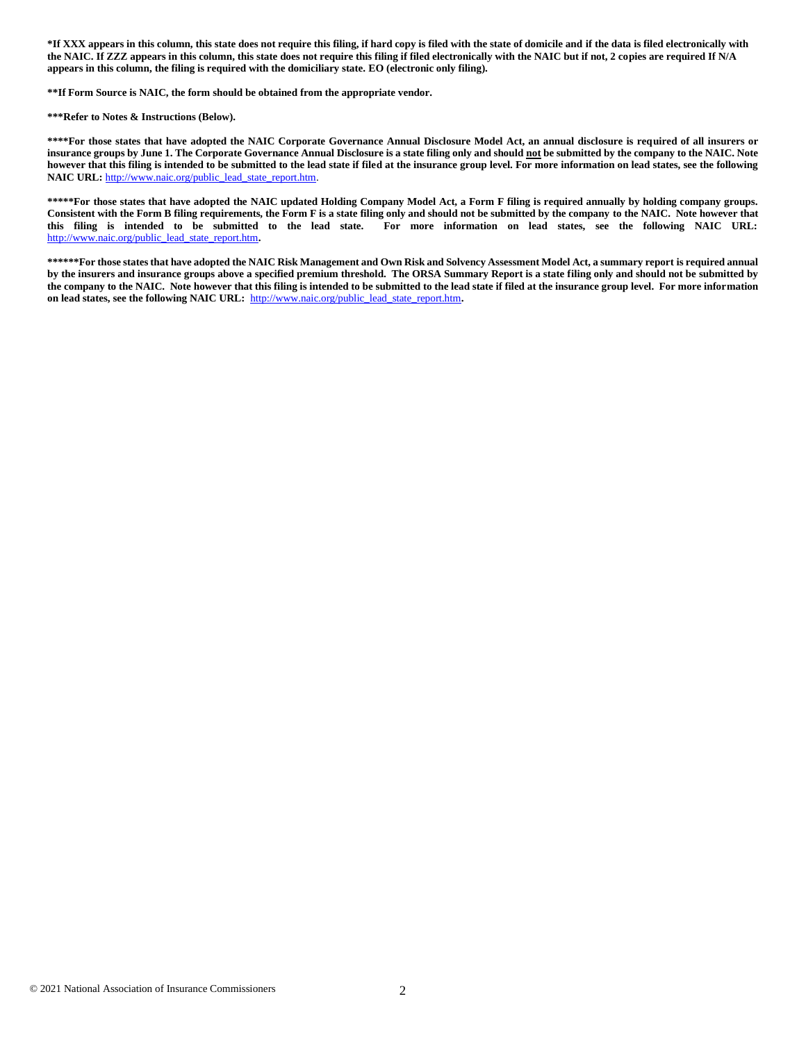**\*If XXX appears in this column, this state does not require this filing, if hard copy is filed with the state of domicile and if the data is filed electronically with the NAIC. If ZZZ appears in this column, this state does not require this filing if filed electronically with the NAIC but if not, 2 copies are required If N/A appears in this column, the filing is required with the domiciliary state. EO (electronic only filing).**

**\*\*If Form Source is NAIC, the form should be obtained from the appropriate vendor.**

**\*\*\*Refer to Notes & Instructions (Below).**

**\*\*\*\*For those states that have adopted the NAIC Corporate Governance Annual Disclosure Model Act, an annual disclosure is required of all insurers or insurance groups by June 1. The Corporate Governance Annual Disclosure is a state filing only and should not be submitted by the company to the NAIC. Note however that this filing is intended to be submitted to the lead state if filed at the insurance group level. For more information on lead states, see the following**  NAIC URL: [http://www.naic.org/public\\_lead\\_state\\_report.htm.](http://www.naic.org/public_lead_state_report.htm)

**\*\*\*\*\*For those states that have adopted the NAIC updated Holding Company Model Act, a Form F filing is required annually by holding company groups. Consistent with the Form B filing requirements, the Form F is a state filing only and should not be submitted by the company to the NAIC. Note however that this filing is intended to be submitted to the lead state. For more information on lead states, see the following NAIC URL:**  [http://www.naic.org/public\\_lead\\_state\\_report.htm](http://www.naic.org/public_lead_state_report.htm)**.** 

**\*\*\*\*\*\*For those states that have adopted the NAIC Risk Management and Own Risk and Solvency Assessment Model Act, a summary report is required annual by the insurers and insurance groups above a specified premium threshold. The ORSA Summary Report is a state filing only and should not be submitted by the company to the NAIC. Note however that this filing is intended to be submitted to the lead state if filed at the insurance group level. For more information on lead states, see the following NAIC URL:** [http://www.naic.org/public\\_lead\\_state\\_report.htm](http://www.naic.org/public_lead_state_report.htm)**.**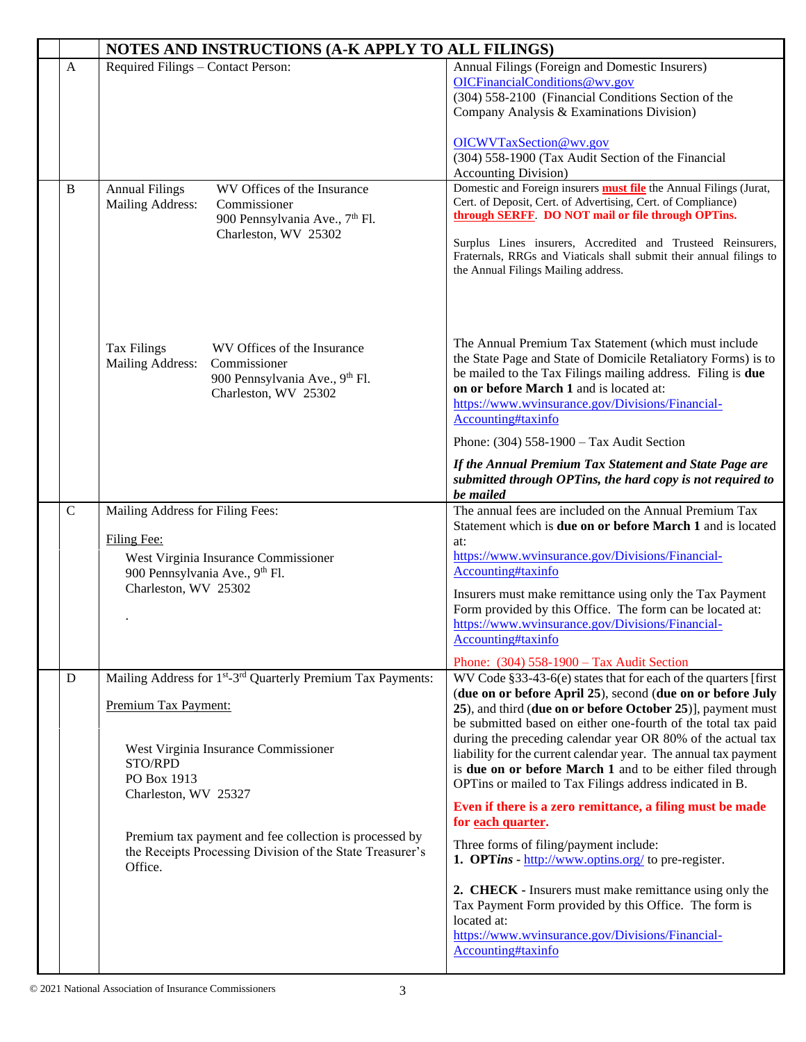|              | NOTES AND INSTRUCTIONS (A-K APPLY TO ALL FILINGS)                                                                                                                                                                                                                                                                                        |                                                                                                                                                                                                                                                                                                                                                                                                                                                                                                                                                                                                                                                                                                                                                                                                                                                                                                                                                                                                         |  |
|--------------|------------------------------------------------------------------------------------------------------------------------------------------------------------------------------------------------------------------------------------------------------------------------------------------------------------------------------------------|---------------------------------------------------------------------------------------------------------------------------------------------------------------------------------------------------------------------------------------------------------------------------------------------------------------------------------------------------------------------------------------------------------------------------------------------------------------------------------------------------------------------------------------------------------------------------------------------------------------------------------------------------------------------------------------------------------------------------------------------------------------------------------------------------------------------------------------------------------------------------------------------------------------------------------------------------------------------------------------------------------|--|
| $\mathbf{A}$ | Required Filings – Contact Person:                                                                                                                                                                                                                                                                                                       | Annual Filings (Foreign and Domestic Insurers)<br>OICFinancialConditions@wv.gov<br>(304) 558-2100 (Financial Conditions Section of the<br>Company Analysis & Examinations Division)<br>OICWVTaxSection@wv.gov<br>(304) 558-1900 (Tax Audit Section of the Financial<br><b>Accounting Division</b> )                                                                                                                                                                                                                                                                                                                                                                                                                                                                                                                                                                                                                                                                                                     |  |
| B            | WV Offices of the Insurance<br><b>Annual Filings</b><br>Commissioner<br>Mailing Address:<br>900 Pennsylvania Ave., 7 <sup>th</sup> Fl.<br>Charleston, WV 25302                                                                                                                                                                           | Domestic and Foreign insurers <b>must file</b> the Annual Filings (Jurat,<br>Cert. of Deposit, Cert. of Advertising, Cert. of Compliance)<br>through SERFF. DO NOT mail or file through OPTins.<br>Surplus Lines insurers, Accredited and Trusteed Reinsurers,<br>Fraternals, RRGs and Viaticals shall submit their annual filings to<br>the Annual Filings Mailing address.                                                                                                                                                                                                                                                                                                                                                                                                                                                                                                                                                                                                                            |  |
|              | WV Offices of the Insurance<br><b>Tax Filings</b><br><b>Mailing Address:</b><br>Commissioner<br>900 Pennsylvania Ave., 9th Fl.<br>Charleston, WV 25302                                                                                                                                                                                   | The Annual Premium Tax Statement (which must include<br>the State Page and State of Domicile Retaliatory Forms) is to<br>be mailed to the Tax Filings mailing address. Filing is due<br>on or before March 1 and is located at:<br>https://www.wvinsurance.gov/Divisions/Financial-<br>Accounting#taxinfo<br>Phone: (304) 558-1900 - Tax Audit Section                                                                                                                                                                                                                                                                                                                                                                                                                                                                                                                                                                                                                                                  |  |
|              |                                                                                                                                                                                                                                                                                                                                          | If the Annual Premium Tax Statement and State Page are<br>submitted through OPTins, the hard copy is not required to<br>be mailed                                                                                                                                                                                                                                                                                                                                                                                                                                                                                                                                                                                                                                                                                                                                                                                                                                                                       |  |
| $\mathsf{C}$ | Mailing Address for Filing Fees:<br>Filing Fee:<br>West Virginia Insurance Commissioner<br>900 Pennsylvania Ave., 9 <sup>th</sup> Fl.<br>Charleston, WV 25302                                                                                                                                                                            | The annual fees are included on the Annual Premium Tax<br>Statement which is due on or before March 1 and is located<br>at:<br>https://www.wvinsurance.gov/Divisions/Financial-<br>Accounting#taxinfo<br>Insurers must make remittance using only the Tax Payment<br>Form provided by this Office. The form can be located at:<br>https://www.wvinsurance.gov/Divisions/Financial-<br>Accounting#taxinfo                                                                                                                                                                                                                                                                                                                                                                                                                                                                                                                                                                                                |  |
| D            | Mailing Address for 1 <sup>st</sup> -3 <sup>rd</sup> Quarterly Premium Tax Payments:<br>Premium Tax Payment:<br>West Virginia Insurance Commissioner<br>STO/RPD<br>PO Box 1913<br>Charleston, WV 25327<br>Premium tax payment and fee collection is processed by<br>the Receipts Processing Division of the State Treasurer's<br>Office. | Phone: (304) 558-1900 - Tax Audit Section<br>WV Code §33-43-6(e) states that for each of the quarters [first<br>(due on or before April 25), second (due on or before July<br>25), and third (due on or before October 25)], payment must<br>be submitted based on either one-fourth of the total tax paid<br>during the preceding calendar year OR 80% of the actual tax<br>liability for the current calendar year. The annual tax payment<br>is due on or before March 1 and to be either filed through<br>OPTins or mailed to Tax Filings address indicated in B.<br>Even if there is a zero remittance, a filing must be made<br>for each quarter.<br>Three forms of filing/payment include:<br>1. OPTins - $\frac{http://www.optims.org/}{http://www.optims.org/})$ to pre-register.<br>2. CHECK - Insurers must make remittance using only the<br>Tax Payment Form provided by this Office. The form is<br>located at:<br>https://www.wvinsurance.gov/Divisions/Financial-<br>Accounting#taxinfo |  |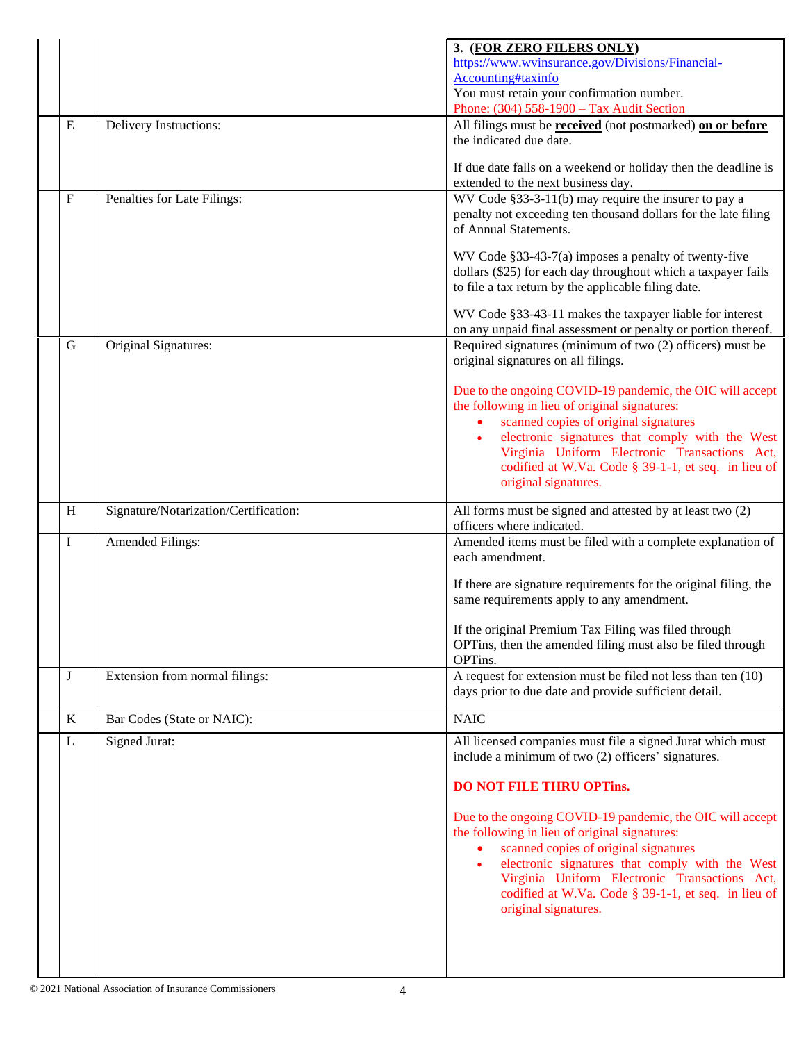|                  |                                       | 3. (FOR ZERO FILERS ONLY)                                                                                                                                                    |
|------------------|---------------------------------------|------------------------------------------------------------------------------------------------------------------------------------------------------------------------------|
|                  |                                       | https://www.wvinsurance.gov/Divisions/Financial-                                                                                                                             |
|                  |                                       | Accounting#taxinfo                                                                                                                                                           |
|                  |                                       | You must retain your confirmation number.<br>Phone: (304) 558-1900 - Tax Audit Section                                                                                       |
| ${\bf E}$        | Delivery Instructions:                | All filings must be <b>received</b> (not postmarked) on or before                                                                                                            |
|                  |                                       | the indicated due date.                                                                                                                                                      |
|                  |                                       | If due date falls on a weekend or holiday then the deadline is<br>extended to the next business day.                                                                         |
| $\boldsymbol{F}$ | Penalties for Late Filings:           | WV Code §33-3-11(b) may require the insurer to pay a                                                                                                                         |
|                  |                                       | penalty not exceeding ten thousand dollars for the late filing<br>of Annual Statements.                                                                                      |
|                  |                                       | WV Code §33-43-7(a) imposes a penalty of twenty-five<br>dollars (\$25) for each day throughout which a taxpayer fails<br>to file a tax return by the applicable filing date. |
|                  |                                       | WV Code §33-43-11 makes the taxpayer liable for interest                                                                                                                     |
| $\mathbf G$      | Original Signatures:                  | on any unpaid final assessment or penalty or portion thereof.<br>Required signatures (minimum of two (2) officers) must be                                                   |
|                  |                                       | original signatures on all filings.                                                                                                                                          |
|                  |                                       | Due to the ongoing COVID-19 pandemic, the OIC will accept<br>the following in lieu of original signatures:                                                                   |
|                  |                                       | scanned copies of original signatures<br>$\bullet$                                                                                                                           |
|                  |                                       | electronic signatures that comply with the West                                                                                                                              |
|                  |                                       | Virginia Uniform Electronic Transactions Act,<br>codified at W.Va. Code § 39-1-1, et seq. in lieu of                                                                         |
|                  |                                       | original signatures.                                                                                                                                                         |
|                  |                                       |                                                                                                                                                                              |
| H                | Signature/Notarization/Certification: | All forms must be signed and attested by at least two (2)<br>officers where indicated.                                                                                       |
| I                | Amended Filings:                      | Amended items must be filed with a complete explanation of<br>each amendment.                                                                                                |
|                  |                                       | If there are signature requirements for the original filing, the<br>same requirements apply to any amendment.                                                                |
|                  |                                       | If the original Premium Tax Filing was filed through                                                                                                                         |
|                  |                                       | OPTins, then the amended filing must also be filed through                                                                                                                   |
|                  |                                       | OPTins.                                                                                                                                                                      |
| J                | Extension from normal filings:        | A request for extension must be filed not less than ten (10)<br>days prior to due date and provide sufficient detail.                                                        |
| $\bf K$          | Bar Codes (State or NAIC):            | <b>NAIC</b>                                                                                                                                                                  |
| $\mathbf L$      | Signed Jurat:                         | All licensed companies must file a signed Jurat which must<br>include a minimum of two (2) officers' signatures.                                                             |
|                  |                                       | <b>DO NOT FILE THRU OPTINS.</b>                                                                                                                                              |
|                  |                                       |                                                                                                                                                                              |
|                  |                                       | Due to the ongoing COVID-19 pandemic, the OIC will accept<br>the following in lieu of original signatures:                                                                   |
|                  |                                       | scanned copies of original signatures<br>$\bullet$                                                                                                                           |
|                  |                                       | electronic signatures that comply with the West<br>$\bullet$                                                                                                                 |
|                  |                                       | Virginia Uniform Electronic Transactions Act,                                                                                                                                |
|                  |                                       | codified at W.Va. Code § 39-1-1, et seq. in lieu of<br>original signatures.                                                                                                  |
|                  |                                       |                                                                                                                                                                              |
|                  |                                       |                                                                                                                                                                              |
|                  |                                       |                                                                                                                                                                              |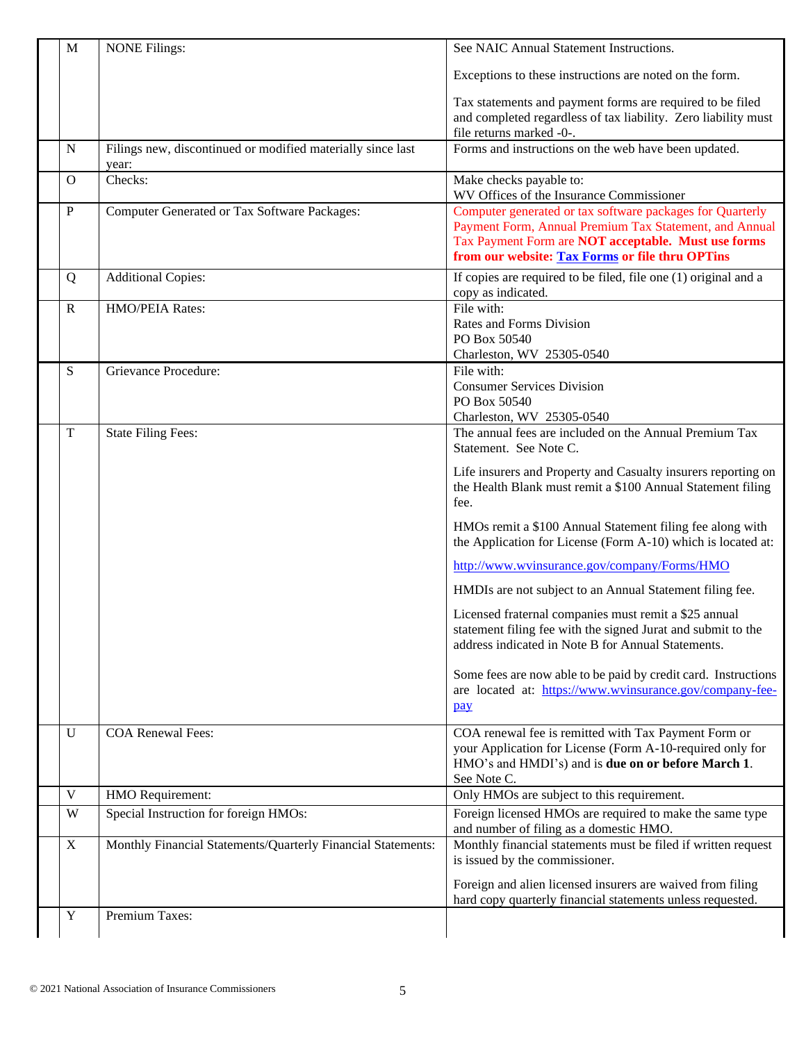| $\mathbf{M}$ | <b>NONE Filings:</b>                                         | See NAIC Annual Statement Instructions.                                                                                                                                                                                       |
|--------------|--------------------------------------------------------------|-------------------------------------------------------------------------------------------------------------------------------------------------------------------------------------------------------------------------------|
|              |                                                              | Exceptions to these instructions are noted on the form.                                                                                                                                                                       |
|              |                                                              | Tax statements and payment forms are required to be filed<br>and completed regardless of tax liability. Zero liability must<br>file returns marked -0-.                                                                       |
| N            | Filings new, discontinued or modified materially since last  | Forms and instructions on the web have been updated.                                                                                                                                                                          |
|              | year:                                                        |                                                                                                                                                                                                                               |
| $\Omega$     | Checks:                                                      | Make checks payable to:<br>WV Offices of the Insurance Commissioner                                                                                                                                                           |
| ${\bf P}$    | Computer Generated or Tax Software Packages:                 | Computer generated or tax software packages for Quarterly<br>Payment Form, Annual Premium Tax Statement, and Annual<br>Tax Payment Form are NOT acceptable. Must use forms<br>from our website: Tax Forms or file thru OPTins |
| Q            | <b>Additional Copies:</b>                                    | If copies are required to be filed, file one (1) original and a<br>copy as indicated.                                                                                                                                         |
| $\mathbf R$  | HMO/PEIA Rates:                                              | File with:<br>Rates and Forms Division<br>PO Box 50540<br>Charleston, WV 25305-0540                                                                                                                                           |
| S            | Grievance Procedure:                                         | File with:                                                                                                                                                                                                                    |
|              |                                                              | <b>Consumer Services Division</b><br>PO Box 50540<br>Charleston, WV 25305-0540                                                                                                                                                |
| $\mathbf T$  | <b>State Filing Fees:</b>                                    | The annual fees are included on the Annual Premium Tax<br>Statement. See Note C.                                                                                                                                              |
|              |                                                              | Life insurers and Property and Casualty insurers reporting on<br>the Health Blank must remit a \$100 Annual Statement filing<br>fee.                                                                                          |
|              |                                                              | HMOs remit a \$100 Annual Statement filing fee along with<br>the Application for License (Form A-10) which is located at:                                                                                                     |
|              |                                                              | http://www.wvinsurance.gov/company/Forms/HMO                                                                                                                                                                                  |
|              |                                                              | HMDIs are not subject to an Annual Statement filing fee.                                                                                                                                                                      |
|              |                                                              | Licensed fraternal companies must remit a \$25 annual<br>statement filing fee with the signed Jurat and submit to the<br>address indicated in Note B for Annual Statements.                                                   |
|              |                                                              | Some fees are now able to be paid by credit card. Instructions<br>are located at: https://www.wvinsurance.gov/company-fee-<br>pay                                                                                             |
| $\mathbf U$  | <b>COA Renewal Fees:</b>                                     | COA renewal fee is remitted with Tax Payment Form or<br>your Application for License (Form A-10-required only for<br>HMO's and HMDI's) and is due on or before March 1.<br>See Note C.                                        |
| $\mathbf V$  | HMO Requirement:                                             | Only HMOs are subject to this requirement.                                                                                                                                                                                    |
| W            | Special Instruction for foreign HMOs:                        | Foreign licensed HMOs are required to make the same type<br>and number of filing as a domestic HMO.                                                                                                                           |
| X            | Monthly Financial Statements/Quarterly Financial Statements: | Monthly financial statements must be filed if written request<br>is issued by the commissioner.                                                                                                                               |
|              |                                                              | Foreign and alien licensed insurers are waived from filing<br>hard copy quarterly financial statements unless requested.                                                                                                      |
| Y            | Premium Taxes:                                               |                                                                                                                                                                                                                               |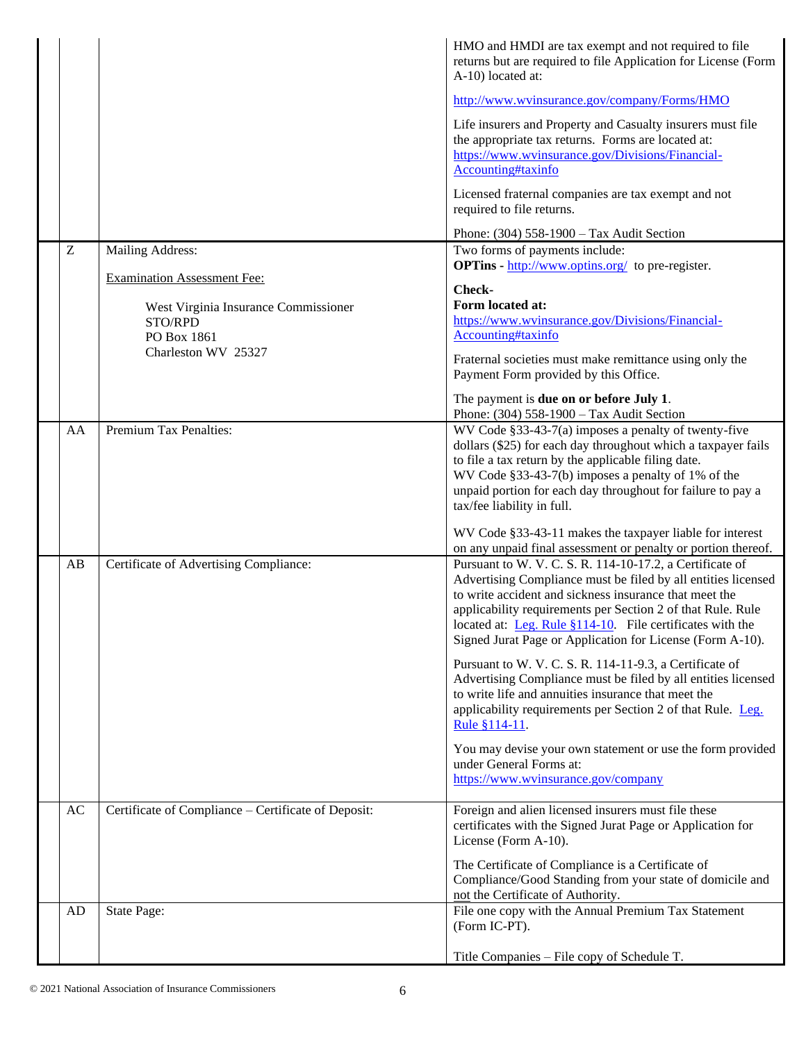|    |                                                                                       | HMO and HMDI are tax exempt and not required to file<br>returns but are required to file Application for License (Form<br>A-10) located at:<br>http://www.wvinsurance.gov/company/Forms/HMO<br>Life insurers and Property and Casualty insurers must file<br>the appropriate tax returns. Forms are located at:<br>https://www.wvinsurance.gov/Divisions/Financial-<br>Accounting#taxinfo<br>Licensed fraternal companies are tax exempt and not<br>required to file returns.                             |
|----|---------------------------------------------------------------------------------------|-----------------------------------------------------------------------------------------------------------------------------------------------------------------------------------------------------------------------------------------------------------------------------------------------------------------------------------------------------------------------------------------------------------------------------------------------------------------------------------------------------------|
| Z  | Mailing Address:                                                                      | Phone: (304) 558-1900 - Tax Audit Section<br>Two forms of payments include:                                                                                                                                                                                                                                                                                                                                                                                                                               |
|    | <b>Examination Assessment Fee:</b><br>West Virginia Insurance Commissioner<br>STO/RPD | <b>OPTins</b> - $\frac{http://www.optins.org/}{http://www.optins.org/})$ to pre-register.<br>Check-<br>Form located at:<br>https://www.wvinsurance.gov/Divisions/Financial-                                                                                                                                                                                                                                                                                                                               |
|    | PO Box 1861<br>Charleston WV 25327                                                    | Accounting#taxinfo<br>Fraternal societies must make remittance using only the<br>Payment Form provided by this Office.                                                                                                                                                                                                                                                                                                                                                                                    |
|    |                                                                                       | The payment is <b>due on or before July 1</b> .<br>Phone: (304) 558-1900 - Tax Audit Section                                                                                                                                                                                                                                                                                                                                                                                                              |
| AA | Premium Tax Penalties:                                                                | WV Code $§$ 33-43-7(a) imposes a penalty of twenty-five<br>dollars (\$25) for each day throughout which a taxpayer fails<br>to file a tax return by the applicable filing date.<br>WV Code §33-43-7(b) imposes a penalty of 1% of the<br>unpaid portion for each day throughout for failure to pay a<br>tax/fee liability in full.                                                                                                                                                                        |
| AB | Certificate of Advertising Compliance:                                                | WV Code §33-43-11 makes the taxpayer liable for interest<br>on any unpaid final assessment or penalty or portion thereof.<br>Pursuant to W. V. C. S. R. 114-10-17.2, a Certificate of<br>Advertising Compliance must be filed by all entities licensed<br>to write accident and sickness insurance that meet the<br>applicability requirements per Section 2 of that Rule. Rule<br>located at: Leg. Rule §114-10. File certificates with the<br>Signed Jurat Page or Application for License (Form A-10). |
|    |                                                                                       | Pursuant to W. V. C. S. R. 114-11-9.3, a Certificate of<br>Advertising Compliance must be filed by all entities licensed<br>to write life and annuities insurance that meet the<br>applicability requirements per Section 2 of that Rule. Leg.<br>Rule §114-11.                                                                                                                                                                                                                                           |
|    |                                                                                       | You may devise your own statement or use the form provided<br>under General Forms at:<br>https://www.wvinsurance.gov/company                                                                                                                                                                                                                                                                                                                                                                              |
| AC | Certificate of Compliance - Certificate of Deposit:                                   | Foreign and alien licensed insurers must file these<br>certificates with the Signed Jurat Page or Application for<br>License (Form A-10).                                                                                                                                                                                                                                                                                                                                                                 |
|    |                                                                                       | The Certificate of Compliance is a Certificate of<br>Compliance/Good Standing from your state of domicile and<br>not the Certificate of Authority.                                                                                                                                                                                                                                                                                                                                                        |
| AD | State Page:                                                                           | File one copy with the Annual Premium Tax Statement<br>(Form IC-PT).                                                                                                                                                                                                                                                                                                                                                                                                                                      |
|    |                                                                                       | Title Companies - File copy of Schedule T.                                                                                                                                                                                                                                                                                                                                                                                                                                                                |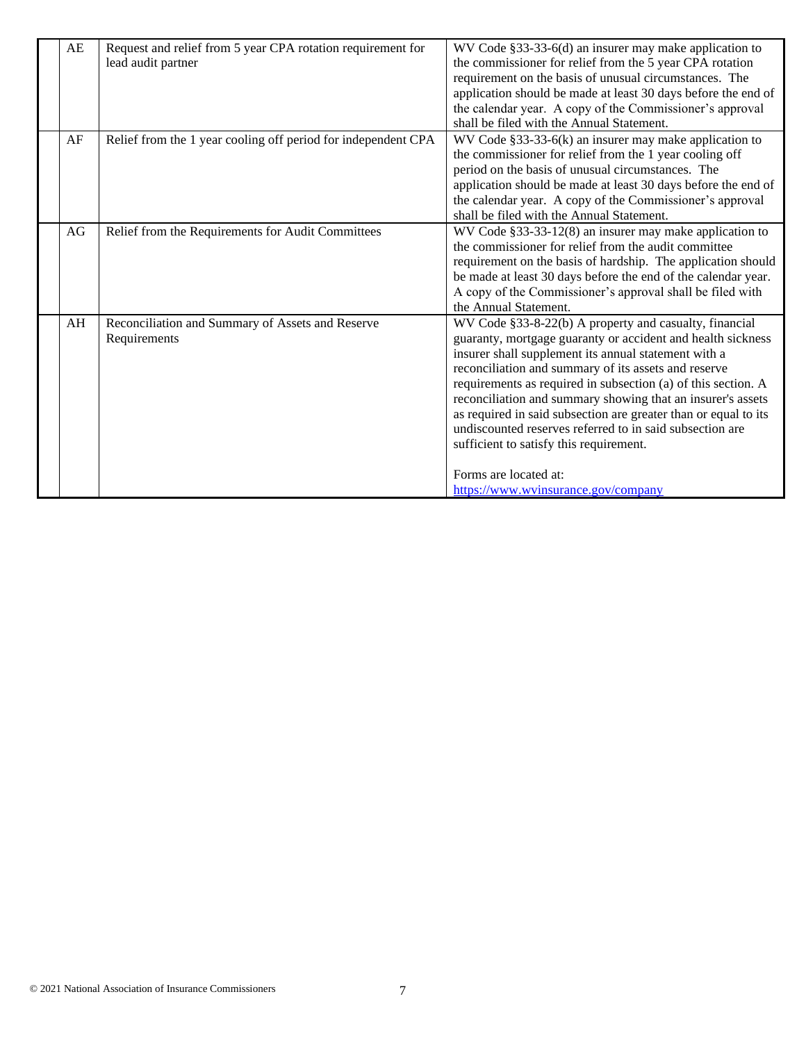| AE | Request and relief from 5 year CPA rotation requirement for   | WV Code §33-33-6(d) an insurer may make application to          |
|----|---------------------------------------------------------------|-----------------------------------------------------------------|
|    | lead audit partner                                            | the commissioner for relief from the 5 year CPA rotation        |
|    |                                                               | requirement on the basis of unusual circumstances. The          |
|    |                                                               | application should be made at least 30 days before the end of   |
|    |                                                               | the calendar year. A copy of the Commissioner's approval        |
|    |                                                               | shall be filed with the Annual Statement.                       |
| AF | Relief from the 1 year cooling off period for independent CPA | WV Code $§$ 33-33-6(k) an insurer may make application to       |
|    |                                                               | the commissioner for relief from the 1 year cooling off         |
|    |                                                               | period on the basis of unusual circumstances. The               |
|    |                                                               | application should be made at least 30 days before the end of   |
|    |                                                               | the calendar year. A copy of the Commissioner's approval        |
|    |                                                               | shall be filed with the Annual Statement.                       |
| AG | Relief from the Requirements for Audit Committees             | WV Code §33-33-12(8) an insurer may make application to         |
|    |                                                               | the commissioner for relief from the audit committee            |
|    |                                                               | requirement on the basis of hardship. The application should    |
|    |                                                               | be made at least 30 days before the end of the calendar year.   |
|    |                                                               | A copy of the Commissioner's approval shall be filed with       |
|    |                                                               | the Annual Statement.                                           |
| AH | Reconciliation and Summary of Assets and Reserve              | WV Code §33-8-22(b) A property and casualty, financial          |
|    | Requirements                                                  | guaranty, mortgage guaranty or accident and health sickness     |
|    |                                                               | insurer shall supplement its annual statement with a            |
|    |                                                               | reconciliation and summary of its assets and reserve            |
|    |                                                               | requirements as required in subsection (a) of this section. A   |
|    |                                                               | reconciliation and summary showing that an insurer's assets     |
|    |                                                               | as required in said subsection are greater than or equal to its |
|    |                                                               | undiscounted reserves referred to in said subsection are        |
|    |                                                               | sufficient to satisfy this requirement.                         |
|    |                                                               |                                                                 |
|    |                                                               | Forms are located at:                                           |
|    |                                                               | https://www.wvinsurance.gov/company                             |